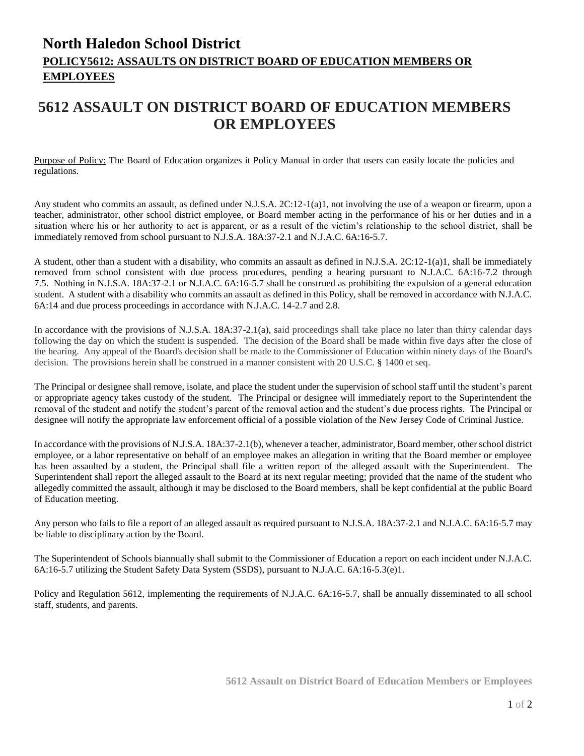## **North Haledon School District POLICY5612: ASSAULTS ON DISTRICT BOARD OF EDUCATION MEMBERS OR EMPLOYEES**

## **5612 ASSAULT ON DISTRICT BOARD OF EDUCATION MEMBERS OR EMPLOYEES**

Purpose of Policy: The Board of Education organizes it Policy Manual in order that users can easily locate the policies and regulations.

Any student who commits an assault, as defined under N.J.S.A. 2C:12-1(a)1, not involving the use of a weapon or firearm, upon a teacher, administrator, other school district employee, or Board member acting in the performance of his or her duties and in a situation where his or her authority to act is apparent, or as a result of the victim's relationship to the school district, shall be immediately removed from school pursuant to N.J.S.A. 18A:37-2.1 and N.J.A.C. 6A:16-5.7.

A student, other than a student with a disability, who commits an assault as defined in N.J.S.A. 2C:12-1(a)1, shall be immediately removed from school consistent with due process procedures, pending a hearing pursuant to N.J.A.C. 6A:16-7.2 through 7.5. Nothing in N.J.S.A. 18A:37-2.1 or N.J.A.C. 6A:16-5.7 shall be construed as prohibiting the expulsion of a general education student. A student with a disability who commits an assault as defined in this Policy, shall be removed in accordance with N.J.A.C. 6A:14 and due process proceedings in accordance with N.J.A.C. 14-2.7 and 2.8.

In accordance with the provisions of N.J.S.A. 18A:37-2.1(a), said proceedings shall take place no later than thirty calendar days following the day on which the student is suspended. The decision of the Board shall be made within five days after the close of the hearing. Any appeal of the Board's decision shall be made to the Commissioner of Education within ninety days of the Board's decision. The provisions herein shall be construed in a manner consistent with 20 U.S.C. § 1400 et seq.

The Principal or designee shall remove, isolate, and place the student under the supervision of school staff until the student's parent or appropriate agency takes custody of the student. The Principal or designee will immediately report to the Superintendent the removal of the student and notify the student's parent of the removal action and the student's due process rights. The Principal or designee will notify the appropriate law enforcement official of a possible violation of the New Jersey Code of Criminal Justice.

In accordance with the provisions of N.J.S.A. 18A:37-2.1(b), whenever a teacher, administrator, Board member, other school district employee, or a labor representative on behalf of an employee makes an allegation in writing that the Board member or employee has been assaulted by a student, the Principal shall file a written report of the alleged assault with the Superintendent. The Superintendent shall report the alleged assault to the Board at its next regular meeting; provided that the name of the student who allegedly committed the assault, although it may be disclosed to the Board members, shall be kept confidential at the public Board of Education meeting.

Any person who fails to file a report of an alleged assault as required pursuant to N.J.S.A. 18A:37-2.1 and N.J.A.C. 6A:16-5.7 may be liable to disciplinary action by the Board.

The Superintendent of Schools biannually shall submit to the Commissioner of Education a report on each incident under N.J.A.C. 6A:16-5.7 utilizing the Student Safety Data System (SSDS), pursuant to N.J.A.C. 6A:16-5.3(e)1.

Policy and Regulation 5612, implementing the requirements of N.J.A.C. 6A:16-5.7, shall be annually disseminated to all school staff, students, and parents.